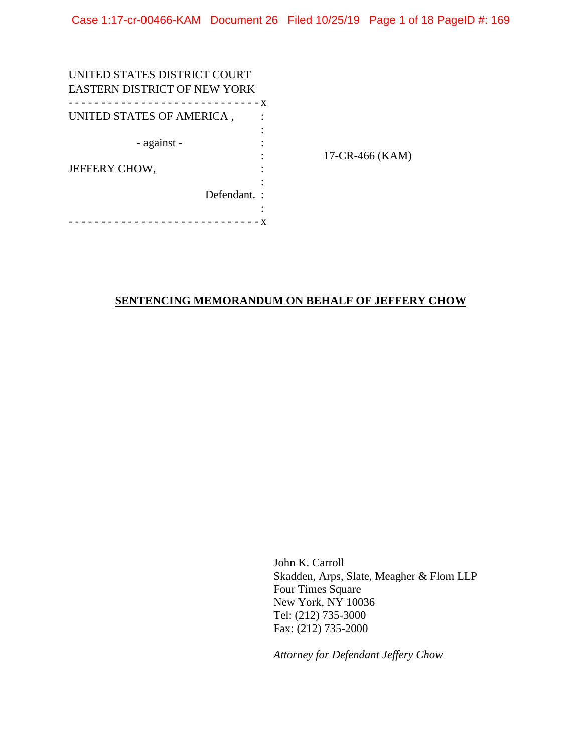| UNITED STATES DISTRICT COURT<br><b>EASTERN DISTRICT OF NEW YORK</b> |  |                 |
|---------------------------------------------------------------------|--|-----------------|
| ---------------<br>- - - - - - - X                                  |  |                 |
| UNITED STATES OF AMERICA,                                           |  |                 |
|                                                                     |  |                 |
| - against -                                                         |  |                 |
|                                                                     |  | 17-CR-466 (KAM) |
| <b>JEFFERY CHOW,</b>                                                |  |                 |
|                                                                     |  |                 |
| Defendant.:                                                         |  |                 |
|                                                                     |  |                 |
|                                                                     |  |                 |

# **SENTENCING MEMORANDUM ON BEHALF OF JEFFERY CHOW**

John K. Carroll Skadden, Arps, Slate, Meagher & Flom LLP Four Times Square New York, NY 10036 Tel: (212) 735-3000 Fax: (212) 735-2000

*Attorney for Defendant Jeffery Chow*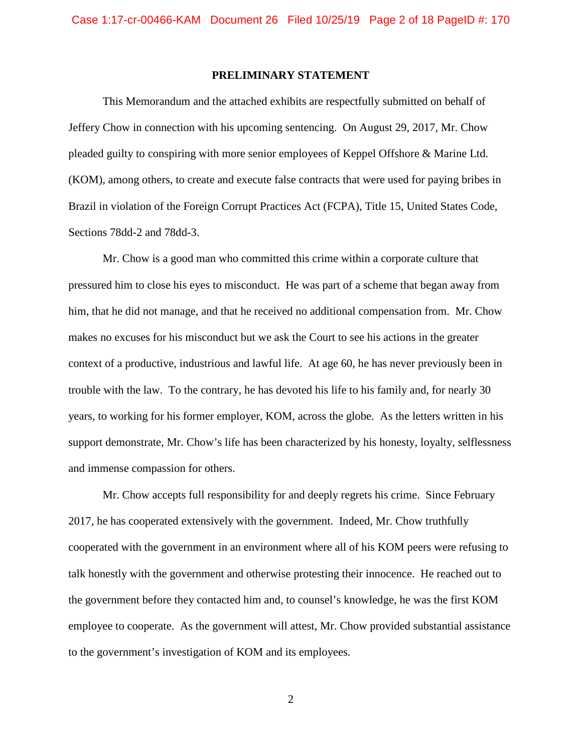## **PRELIMINARY STATEMENT**

This Memorandum and the attached exhibits are respectfully submitted on behalf of Jeffery Chow in connection with his upcoming sentencing. On August 29, 2017, Mr. Chow pleaded guilty to conspiring with more senior employees of Keppel Offshore & Marine Ltd. (KOM), among others, to create and execute false contracts that were used for paying bribes in Brazil in violation of the Foreign Corrupt Practices Act (FCPA), Title 15, United States Code, Sections 78dd-2 and 78dd-3.

Mr. Chow is a good man who committed this crime within a corporate culture that pressured him to close his eyes to misconduct. He was part of a scheme that began away from him, that he did not manage, and that he received no additional compensation from. Mr. Chow makes no excuses for his misconduct but we ask the Court to see his actions in the greater context of a productive, industrious and lawful life. At age 60, he has never previously been in trouble with the law. To the contrary, he has devoted his life to his family and, for nearly 30 years, to working for his former employer, KOM, across the globe. As the letters written in his support demonstrate, Mr. Chow's life has been characterized by his honesty, loyalty, selflessness and immense compassion for others.

Mr. Chow accepts full responsibility for and deeply regrets his crime. Since February 2017, he has cooperated extensively with the government. Indeed, Mr. Chow truthfully cooperated with the government in an environment where all of his KOM peers were refusing to talk honestly with the government and otherwise protesting their innocence. He reached out to the government before they contacted him and, to counsel's knowledge, he was the first KOM employee to cooperate. As the government will attest, Mr. Chow provided substantial assistance to the government's investigation of KOM and its employees.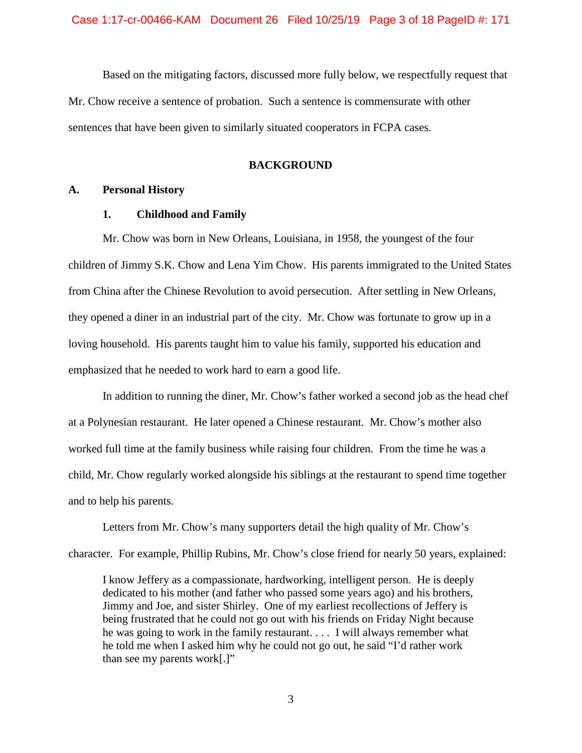Based on the mitigating factors, discussed more fully below, we respectfully request that Mr. Chow receive a sentence of probation. Such a sentence is commensurate with other sentences that have been given to similarly situated cooperators in FCPA cases.

## **BACKGROUND**

#### **A. Personal History**

#### **1. Childhood and Family**

Mr. Chow was born in New Orleans, Louisiana, in 1958, the youngest of the four children of Jimmy S.K. Chow and Lena Yim Chow. His parents immigrated to the United States from China after the Chinese Revolution to avoid persecution. After settling in New Orleans, they opened a diner in an industrial part of the city. Mr. Chow was fortunate to grow up in a loving household. His parents taught him to value his family, supported his education and emphasized that he needed to work hard to earn a good life.

In addition to running the diner, Mr. Chow's father worked a second job as the head chef at a Polynesian restaurant. He later opened a Chinese restaurant. Mr. Chow's mother also worked full time at the family business while raising four children. From the time he was a child, Mr. Chow regularly worked alongside his siblings at the restaurant to spend time together and to help his parents.

Letters from Mr. Chow's many supporters detail the high quality of Mr. Chow's character. For example, Phillip Rubins, Mr. Chow's close friend for nearly 50 years, explained:

I know Jeffery as a compassionate, hardworking, intelligent person. He is deeply dedicated to his mother (and father who passed some years ago) and his brothers, Jimmy and Joe, and sister Shirley. One of my earliest recollections of Jeffery is being frustrated that he could not go out with his friends on Friday Night because he was going to work in the family restaurant. . . . I will always remember what he told me when I asked him why he could not go out, he said "I'd rather work than see my parents work[.]"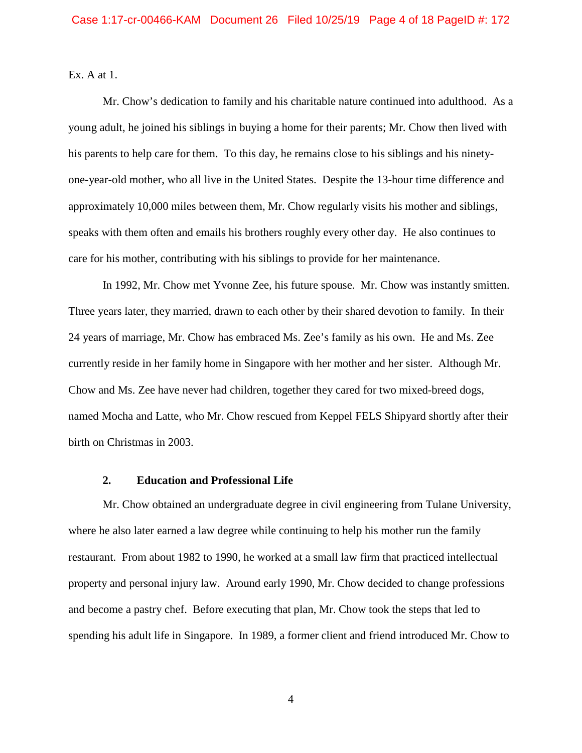Ex. A at 1.

Mr. Chow's dedication to family and his charitable nature continued into adulthood. As a young adult, he joined his siblings in buying a home for their parents; Mr. Chow then lived with his parents to help care for them. To this day, he remains close to his siblings and his ninetyone-year-old mother, who all live in the United States. Despite the 13-hour time difference and approximately 10,000 miles between them, Mr. Chow regularly visits his mother and siblings, speaks with them often and emails his brothers roughly every other day. He also continues to care for his mother, contributing with his siblings to provide for her maintenance.

In 1992, Mr. Chow met Yvonne Zee, his future spouse. Mr. Chow was instantly smitten. Three years later, they married, drawn to each other by their shared devotion to family. In their 24 years of marriage, Mr. Chow has embraced Ms. Zee's family as his own. He and Ms. Zee currently reside in her family home in Singapore with her mother and her sister. Although Mr. Chow and Ms. Zee have never had children, together they cared for two mixed-breed dogs, named Mocha and Latte, who Mr. Chow rescued from Keppel FELS Shipyard shortly after their birth on Christmas in 2003.

## **2. Education and Professional Life**

Mr. Chow obtained an undergraduate degree in civil engineering from Tulane University, where he also later earned a law degree while continuing to help his mother run the family restaurant. From about 1982 to 1990, he worked at a small law firm that practiced intellectual property and personal injury law. Around early 1990, Mr. Chow decided to change professions and become a pastry chef. Before executing that plan, Mr. Chow took the steps that led to spending his adult life in Singapore. In 1989, a former client and friend introduced Mr. Chow to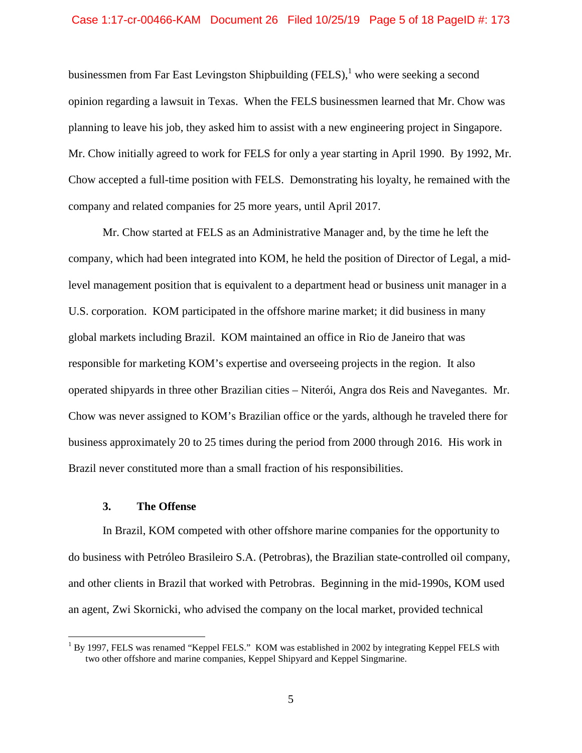### Case 1:17-cr-00466-KAM Document 26 Filed 10/25/19 Page 5 of 18 PageID #: 173

businessmen from Far East Levingston Shipbuilding (FELS), who were seeking a second opinion regarding a lawsuit in Texas. When the FELS businessmen learned that Mr. Chow was planning to leave his job, they asked him to assist with a new engineering project in Singapore. Mr. Chow initially agreed to work for FELS for only a year starting in April 1990. By 1992, Mr. Chow accepted a full-time position with FELS. Demonstrating his loyalty, he remained with the company and related companies for 25 more years, until April 2017.

Mr. Chow started at FELS as an Administrative Manager and, by the time he left the company, which had been integrated into KOM, he held the position of Director of Legal, a midlevel management position that is equivalent to a department head or business unit manager in a U.S. corporation. KOM participated in the offshore marine market; it did business in many global markets including Brazil. KOM maintained an office in Rio de Janeiro that was responsible for marketing KOM's expertise and overseeing projects in the region. It also operated shipyards in three other Brazilian cities – Niterói, Angra dos Reis and Navegantes. Mr. Chow was never assigned to KOM's Brazilian office or the yards, although he traveled there for business approximately 20 to 25 times during the period from 2000 through 2016. His work in Brazil never constituted more than a small fraction of his responsibilities.

## **3. The Offense**

In Brazil, KOM competed with other offshore marine companies for the opportunity to do business with Petróleo Brasileiro S.A. (Petrobras), the Brazilian state-controlled oil company, and other clients in Brazil that worked with Petrobras. Beginning in the mid-1990s, KOM used an agent, Zwi Skornicki, who advised the company on the local market, provided technical

<sup>&</sup>lt;sup>1</sup> By 1997, FELS was renamed "Keppel FELS." KOM was established in 2002 by integrating Keppel FELS with two other offshore and marine companies, Keppel Shipyard and Keppel Singmarine.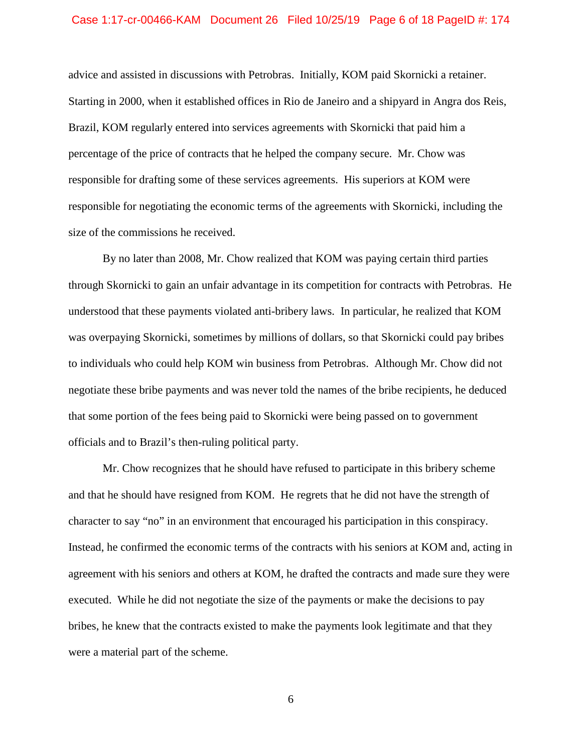#### Case 1:17-cr-00466-KAM Document 26 Filed 10/25/19 Page 6 of 18 PageID #: 174

advice and assisted in discussions with Petrobras. Initially, KOM paid Skornicki a retainer. Starting in 2000, when it established offices in Rio de Janeiro and a shipyard in Angra dos Reis, Brazil, KOM regularly entered into services agreements with Skornicki that paid him a percentage of the price of contracts that he helped the company secure. Mr. Chow was responsible for drafting some of these services agreements. His superiors at KOM were responsible for negotiating the economic terms of the agreements with Skornicki, including the size of the commissions he received.

By no later than 2008, Mr. Chow realized that KOM was paying certain third parties through Skornicki to gain an unfair advantage in its competition for contracts with Petrobras. He understood that these payments violated anti-bribery laws. In particular, he realized that KOM was overpaying Skornicki, sometimes by millions of dollars, so that Skornicki could pay bribes to individuals who could help KOM win business from Petrobras. Although Mr. Chow did not negotiate these bribe payments and was never told the names of the bribe recipients, he deduced that some portion of the fees being paid to Skornicki were being passed on to government officials and to Brazil's then-ruling political party.

Mr. Chow recognizes that he should have refused to participate in this bribery scheme and that he should have resigned from KOM. He regrets that he did not have the strength of character to say "no" in an environment that encouraged his participation in this conspiracy. Instead, he confirmed the economic terms of the contracts with his seniors at KOM and, acting in agreement with his seniors and others at KOM, he drafted the contracts and made sure they were executed. While he did not negotiate the size of the payments or make the decisions to pay bribes, he knew that the contracts existed to make the payments look legitimate and that they were a material part of the scheme.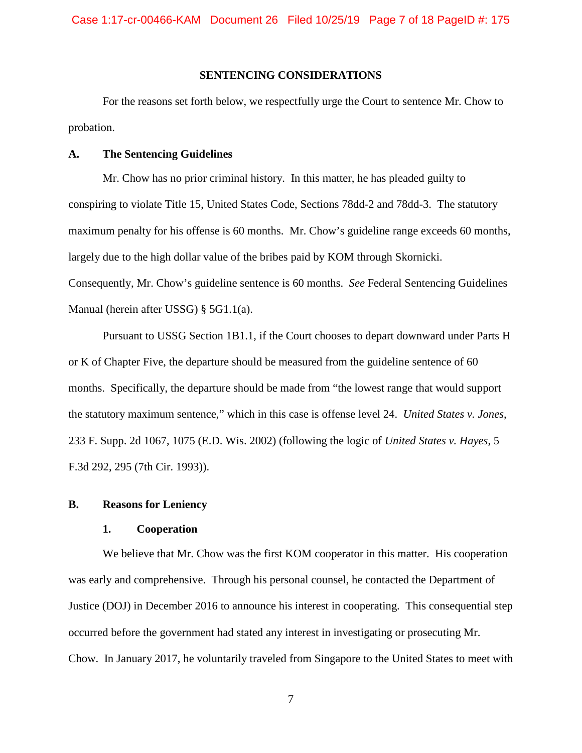## **SENTENCING CONSIDERATIONS**

For the reasons set forth below, we respectfully urge the Court to sentence Mr. Chow to probation.

#### **A. The Sentencing Guidelines**

Mr. Chow has no prior criminal history. In this matter, he has pleaded guilty to conspiring to violate Title 15, United States Code, Sections 78dd-2 and 78dd-3. The statutory maximum penalty for his offense is 60 months. Mr. Chow's guideline range exceeds 60 months, largely due to the high dollar value of the bribes paid by KOM through Skornicki. Consequently, Mr. Chow's guideline sentence is 60 months. *See* Federal Sentencing Guidelines Manual (herein after USSG) § 5G1.1(a).

Pursuant to USSG Section 1B1.1, if the Court chooses to depart downward under Parts H or K of Chapter Five, the departure should be measured from the guideline sentence of 60 months. Specifically, the departure should be made from "the lowest range that would support the statutory maximum sentence," which in this case is offense level 24. *United States v. Jones*, 233 F. Supp. 2d 1067, 1075 (E.D. Wis. 2002) (following the logic of *United States v. Hayes*, 5 F.3d 292, 295 (7th Cir. 1993)).

## **B. Reasons for Leniency**

#### **1. Cooperation**

We believe that Mr. Chow was the first KOM cooperator in this matter. His cooperation was early and comprehensive. Through his personal counsel, he contacted the Department of Justice (DOJ) in December 2016 to announce his interest in cooperating. This consequential step occurred before the government had stated any interest in investigating or prosecuting Mr. Chow. In January 2017, he voluntarily traveled from Singapore to the United States to meet with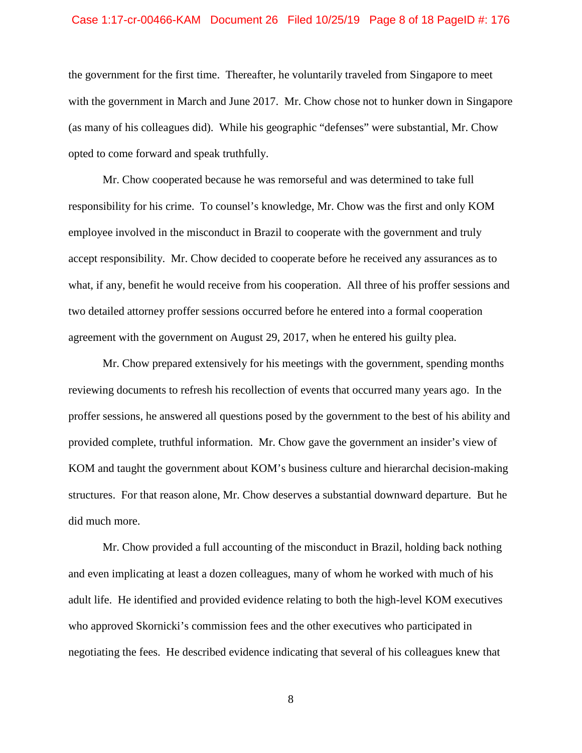### Case 1:17-cr-00466-KAM Document 26 Filed 10/25/19 Page 8 of 18 PageID #: 176

the government for the first time. Thereafter, he voluntarily traveled from Singapore to meet with the government in March and June 2017. Mr. Chow chose not to hunker down in Singapore (as many of his colleagues did). While his geographic "defenses" were substantial, Mr. Chow opted to come forward and speak truthfully.

Mr. Chow cooperated because he was remorseful and was determined to take full responsibility for his crime. To counsel's knowledge, Mr. Chow was the first and only KOM employee involved in the misconduct in Brazil to cooperate with the government and truly accept responsibility. Mr. Chow decided to cooperate before he received any assurances as to what, if any, benefit he would receive from his cooperation. All three of his proffer sessions and two detailed attorney proffer sessions occurred before he entered into a formal cooperation agreement with the government on August 29, 2017, when he entered his guilty plea.

Mr. Chow prepared extensively for his meetings with the government, spending months reviewing documents to refresh his recollection of events that occurred many years ago. In the proffer sessions, he answered all questions posed by the government to the best of his ability and provided complete, truthful information. Mr. Chow gave the government an insider's view of KOM and taught the government about KOM's business culture and hierarchal decision-making structures. For that reason alone, Mr. Chow deserves a substantial downward departure. But he did much more.

Mr. Chow provided a full accounting of the misconduct in Brazil, holding back nothing and even implicating at least a dozen colleagues, many of whom he worked with much of his adult life. He identified and provided evidence relating to both the high-level KOM executives who approved Skornicki's commission fees and the other executives who participated in negotiating the fees. He described evidence indicating that several of his colleagues knew that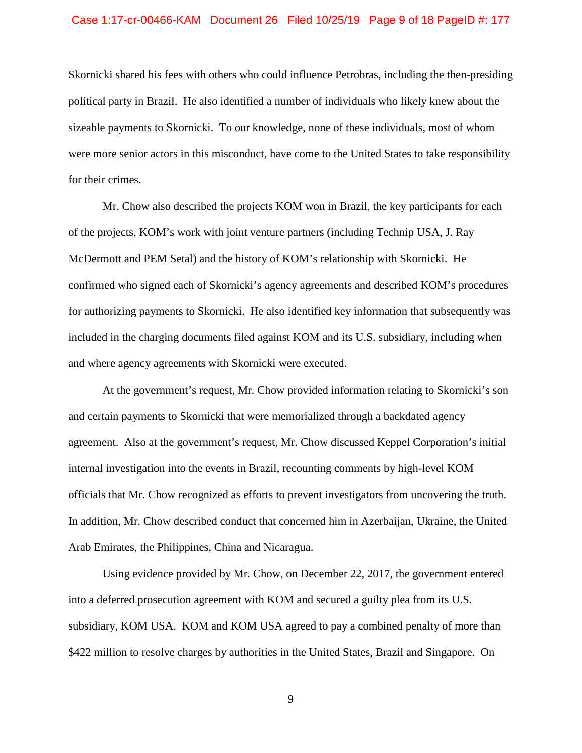#### Case 1:17-cr-00466-KAM Document 26 Filed 10/25/19 Page 9 of 18 PageID #: 177

Skornicki shared his fees with others who could influence Petrobras, including the then-presiding political party in Brazil. He also identified a number of individuals who likely knew about the sizeable payments to Skornicki. To our knowledge, none of these individuals, most of whom were more senior actors in this misconduct, have come to the United States to take responsibility for their crimes.

Mr. Chow also described the projects KOM won in Brazil, the key participants for each of the projects, KOM's work with joint venture partners (including Technip USA, J. Ray McDermott and PEM Setal) and the history of KOM's relationship with Skornicki. He confirmed who signed each of Skornicki's agency agreements and described KOM's procedures for authorizing payments to Skornicki. He also identified key information that subsequently was included in the charging documents filed against KOM and its U.S. subsidiary, including when and where agency agreements with Skornicki were executed.

At the government's request, Mr. Chow provided information relating to Skornicki's son and certain payments to Skornicki that were memorialized through a backdated agency agreement. Also at the government's request, Mr. Chow discussed Keppel Corporation's initial internal investigation into the events in Brazil, recounting comments by high-level KOM officials that Mr. Chow recognized as efforts to prevent investigators from uncovering the truth. In addition, Mr. Chow described conduct that concerned him in Azerbaijan, Ukraine, the United Arab Emirates, the Philippines, China and Nicaragua.

Using evidence provided by Mr. Chow, on December 22, 2017, the government entered into a deferred prosecution agreement with KOM and secured a guilty plea from its U.S. subsidiary, KOM USA. KOM and KOM USA agreed to pay a combined penalty of more than \$422 million to resolve charges by authorities in the United States, Brazil and Singapore. On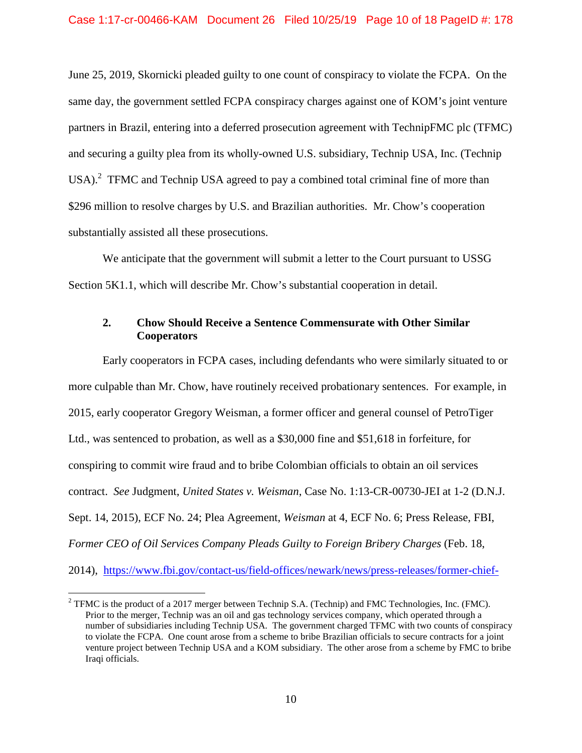June 25, 2019, Skornicki pleaded guilty to one count of conspiracy to violate the FCPA. On the same day, the government settled FCPA conspiracy charges against one of KOM's joint venture partners in Brazil, entering into a deferred prosecution agreement with TechnipFMC plc (TFMC) and securing a guilty plea from its wholly-owned U.S. subsidiary, Technip USA, Inc. (Technip USA). $^2$  TFMC and Technip USA agreed to pay a combined total criminal fine of more than \$296 million to resolve charges by U.S. and Brazilian authorities. Mr. Chow's cooperation substantially assisted all these prosecutions.

We anticipate that the government will submit a letter to the Court pursuant to USSG Section 5K1.1, which will describe Mr. Chow's substantial cooperation in detail.

# **2. Chow Should Receive a Sentence Commensurate with Other Similar Cooperators**

Early cooperators in FCPA cases, including defendants who were similarly situated to or more culpable than Mr. Chow, have routinely received probationary sentences. For example, in 2015, early cooperator Gregory Weisman, a former officer and general counsel of PetroTiger Ltd., was sentenced to probation, as well as a \$30,000 fine and \$51,618 in forfeiture, for conspiring to commit wire fraud and to bribe Colombian officials to obtain an oil services contract. *See* Judgment, *United States v. Weisman*, Case No. 1:13-CR-00730-JEI at 1-2 (D.N.J. Sept. 14, 2015), ECF No. 24; Plea Agreement, *Weisman* at 4, ECF No. 6; Press Release, FBI, *Former CEO of Oil Services Company Pleads Guilty to Foreign Bribery Charges* (Feb. 18, 2014), https://www.fbi.gov/contact-us/field-offices/newark/news/press-releases/former-chief-

<sup>&</sup>lt;sup>2</sup> TFMC is the product of a 2017 merger between Technip S.A. (Technip) and FMC Technologies, Inc. (FMC). Prior to the merger, Technip was an oil and gas technology services company, which operated through a number of subsidiaries including Technip USA. The government charged TFMC with two counts of conspiracy to violate the FCPA. One count arose from a scheme to bribe Brazilian officials to secure contracts for a joint venture project between Technip USA and a KOM subsidiary. The other arose from a scheme by FMC to bribe Iraqi officials.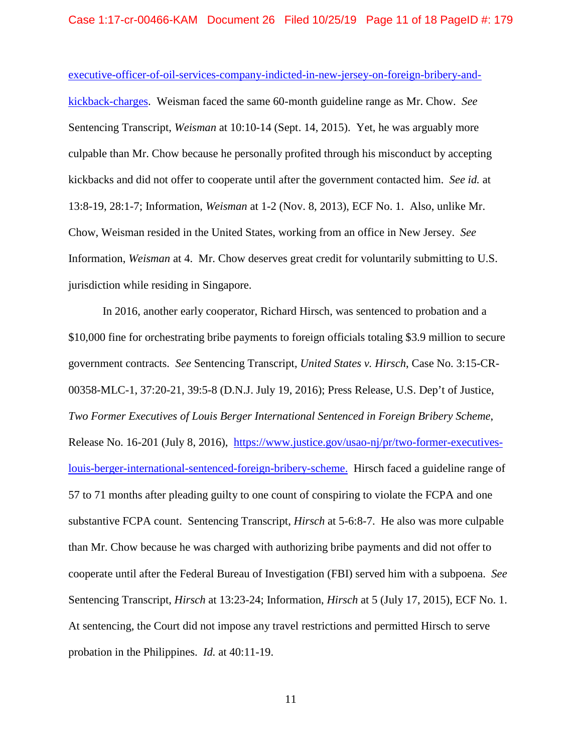executive-officer-of-oil-services-company-indicted-in-new-jersey-on-foreign-bribery-andkickback-charges. Weisman faced the same 60-month guideline range as Mr. Chow. *See*  Sentencing Transcript, *Weisman* at 10:10-14 (Sept. 14, 2015). Yet, he was arguably more culpable than Mr. Chow because he personally profited through his misconduct by accepting kickbacks and did not offer to cooperate until after the government contacted him. *See id.* at 13:8-19, 28:1-7; Information, *Weisman* at 1-2 (Nov. 8, 2013), ECF No. 1. Also, unlike Mr. Chow, Weisman resided in the United States, working from an office in New Jersey. *See*  Information, *Weisman* at 4. Mr. Chow deserves great credit for voluntarily submitting to U.S. jurisdiction while residing in Singapore.

In 2016, another early cooperator, Richard Hirsch, was sentenced to probation and a \$10,000 fine for orchestrating bribe payments to foreign officials totaling \$3.9 million to secure government contracts. *See* Sentencing Transcript, *United States v. Hirsch*, Case No. 3:15-CR-00358-MLC-1, 37:20-21, 39:5-8 (D.N.J. July 19, 2016); Press Release, U.S. Dep't of Justice, *Two Former Executives of Louis Berger International Sentenced in Foreign Bribery Scheme*, Release No. 16-201 (July 8, 2016), https://www.justice.gov/usao-nj/pr/two-former-executiveslouis-berger-international-sentenced-foreign-bribery-scheme. Hirsch faced a guideline range of 57 to 71 months after pleading guilty to one count of conspiring to violate the FCPA and one substantive FCPA count. Sentencing Transcript, *Hirsch* at 5-6:8-7. He also was more culpable than Mr. Chow because he was charged with authorizing bribe payments and did not offer to cooperate until after the Federal Bureau of Investigation (FBI) served him with a subpoena. *See*  Sentencing Transcript, *Hirsch* at 13:23-24; Information, *Hirsch* at 5 (July 17, 2015), ECF No. 1. At sentencing, the Court did not impose any travel restrictions and permitted Hirsch to serve probation in the Philippines. *Id.* at 40:11-19.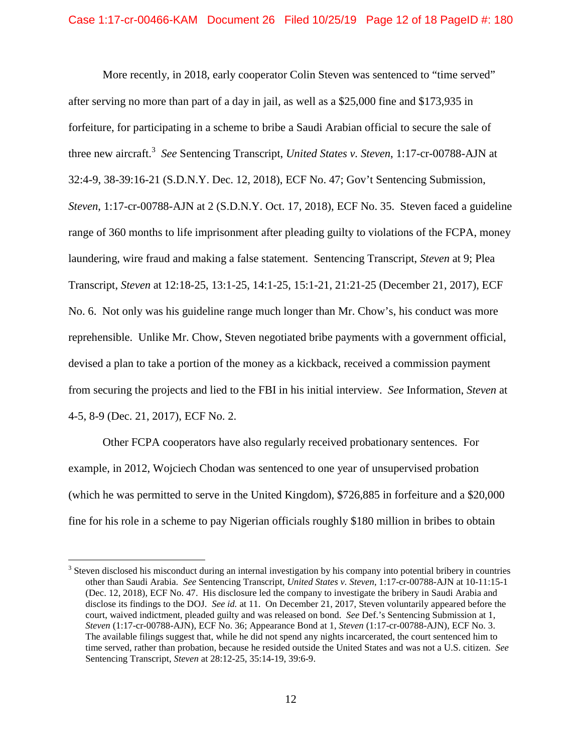More recently, in 2018, early cooperator Colin Steven was sentenced to "time served" after serving no more than part of a day in jail, as well as a \$25,000 fine and \$173,935 in forfeiture, for participating in a scheme to bribe a Saudi Arabian official to secure the sale of three new aircraft.<sup>3</sup> See Sentencing Transcript, *United States v. Steven*, 1:17-cr-00788-AJN at 32:4-9, 38-39:16-21 (S.D.N.Y. Dec. 12, 2018), ECF No. 47; Gov't Sentencing Submission, *Steven*, 1:17-cr-00788-AJN at 2 (S.D.N.Y. Oct. 17, 2018), ECF No. 35. Steven faced a guideline range of 360 months to life imprisonment after pleading guilty to violations of the FCPA, money laundering, wire fraud and making a false statement. Sentencing Transcript, *Steven* at 9; Plea Transcript, *Steven* at 12:18-25, 13:1-25, 14:1-25, 15:1-21, 21:21-25 (December 21, 2017), ECF No. 6. Not only was his guideline range much longer than Mr. Chow's, his conduct was more reprehensible. Unlike Mr. Chow, Steven negotiated bribe payments with a government official, devised a plan to take a portion of the money as a kickback, received a commission payment from securing the projects and lied to the FBI in his initial interview. *See* Information, *Steven* at 4-5, 8-9 (Dec. 21, 2017), ECF No. 2.

Other FCPA cooperators have also regularly received probationary sentences. For example, in 2012, Wojciech Chodan was sentenced to one year of unsupervised probation (which he was permitted to serve in the United Kingdom), \$726,885 in forfeiture and a \$20,000 fine for his role in a scheme to pay Nigerian officials roughly \$180 million in bribes to obtain

 $3$  Steven disclosed his misconduct during an internal investigation by his company into potential bribery in countries other than Saudi Arabia. *See* Sentencing Transcript, *United States v. Steven*, 1:17-cr-00788-AJN at 10-11:15-1 (Dec. 12, 2018), ECF No. 47. His disclosure led the company to investigate the bribery in Saudi Arabia and disclose its findings to the DOJ. *See id.* at 11. On December 21, 2017, Steven voluntarily appeared before the court, waived indictment, pleaded guilty and was released on bond. *See* Def.'s Sentencing Submission at 1, *Steven* (1:17-cr-00788-AJN), ECF No. 36; Appearance Bond at 1, *Steven* (1:17-cr-00788-AJN), ECF No. 3. The available filings suggest that, while he did not spend any nights incarcerated, the court sentenced him to time served, rather than probation, because he resided outside the United States and was not a U.S. citizen. *See*  Sentencing Transcript, *Steven* at 28:12-25, 35:14-19, 39:6-9.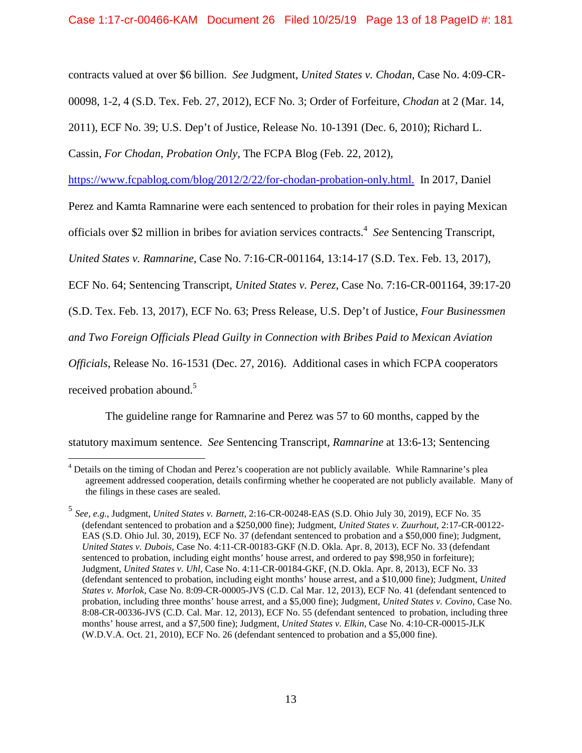contracts valued at over \$6 billion. *See* Judgment, *United States v. Chodan*, Case No. 4:09-CR-

00098, 1-2, 4 (S.D. Tex. Feb. 27, 2012), ECF No. 3; Order of Forfeiture, *Chodan* at 2 (Mar. 14,

2011), ECF No. 39; U.S. Dep't of Justice, Release No. 10-1391 (Dec. 6, 2010); Richard L.

Cassin, *For Chodan, Probation Only*, The FCPA Blog (Feb. 22, 2012),

https://www.fcpablog.com/blog/2012/2/22/for-chodan-probation-only.html. In 2017, Daniel

Perez and Kamta Ramnarine were each sentenced to probation for their roles in paying Mexican

officials over \$2 million in bribes for aviation services contracts.<sup>4</sup> See Sentencing Transcript,

*United States v. Ramnarine*, Case No. 7:16-CR-001164, 13:14-17 (S.D. Tex. Feb. 13, 2017),

ECF No. 64; Sentencing Transcript, *United States v. Perez*, Case No. 7:16-CR-001164, 39:17-20

(S.D. Tex. Feb. 13, 2017), ECF No. 63; Press Release, U.S. Dep't of Justice, *Four Businessmen* 

*and Two Foreign Officials Plead Guilty in Connection with Bribes Paid to Mexican Aviation* 

*Officials*, Release No. 16-1531 (Dec. 27, 2016). Additional cases in which FCPA cooperators

received probation abound.<sup>5</sup>

 The guideline range for Ramnarine and Perez was 57 to 60 months, capped by the statutory maximum sentence. *See* Sentencing Transcript, *Ramnarine* at 13:6-13; Sentencing

<sup>&</sup>lt;sup>4</sup> Details on the timing of Chodan and Perez's cooperation are not publicly available. While Ramnarine's plea agreement addressed cooperation, details confirming whether he cooperated are not publicly available. Many of the filings in these cases are sealed.

<sup>5</sup> *See, e.g.*, Judgment, *United States v. Barnett*, 2:16-CR-00248-EAS (S.D. Ohio July 30, 2019), ECF No. 35 (defendant sentenced to probation and a \$250,000 fine); Judgment, *United States v. Zuurhout*, 2:17-CR-00122- EAS (S.D. Ohio Jul. 30, 2019), ECF No. 37 (defendant sentenced to probation and a \$50,000 fine); Judgment, *United States v. Dubois*, Case No. 4:11-CR-00183-GKF (N.D. Okla. Apr. 8, 2013), ECF No. 33 (defendant sentenced to probation, including eight months' house arrest, and ordered to pay \$98,950 in forfeiture); Judgment, *United States v. Uhl*, Case No. 4:11-CR-00184-GKF, (N.D. Okla. Apr. 8, 2013), ECF No. 33 (defendant sentenced to probation, including eight months' house arrest, and a \$10,000 fine); Judgment, *United States v. Morlok*, Case No. 8:09-CR-00005-JVS (C.D. Cal Mar. 12, 2013), ECF No. 41 (defendant sentenced to probation, including three months' house arrest, and a \$5,000 fine); Judgment, *United States v. Covino*, Case No. 8:08-CR-00336-JVS (C.D. Cal. Mar. 12, 2013), ECF No. 55 (defendant sentenced to probation, including three months' house arrest, and a \$7,500 fine); Judgment, *United States v. Elkin*, Case No. 4:10-CR-00015-JLK (W.D.V.A. Oct. 21, 2010), ECF No. 26 (defendant sentenced to probation and a \$5,000 fine).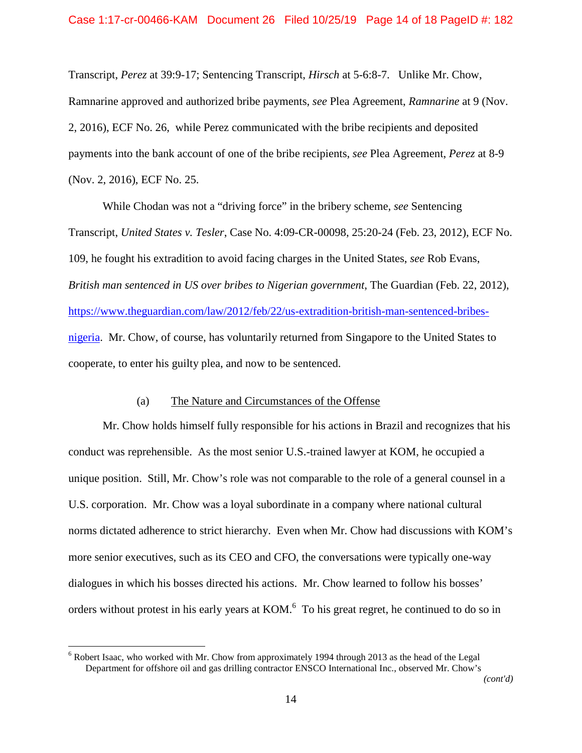Transcript, *Perez* at 39:9-17; Sentencing Transcript, *Hirsch* at 5-6:8-7. Unlike Mr. Chow, Ramnarine approved and authorized bribe payments, *see* Plea Agreement, *Ramnarine* at 9 (Nov. 2, 2016), ECF No. 26, while Perez communicated with the bribe recipients and deposited payments into the bank account of one of the bribe recipients, *see* Plea Agreement, *Perez* at 8-9 (Nov. 2, 2016), ECF No. 25.

While Chodan was not a "driving force" in the bribery scheme, *see* Sentencing Transcript, *United States v. Tesler*, Case No. 4:09-CR-00098, 25:20-24 (Feb. 23, 2012), ECF No. 109, he fought his extradition to avoid facing charges in the United States, *see* Rob Evans, *British man sentenced in US over bribes to Nigerian government*, The Guardian (Feb. 22, 2012), https://www.theguardian.com/law/2012/feb/22/us-extradition-british-man-sentenced-bribesnigeria. Mr. Chow, of course, has voluntarily returned from Singapore to the United States to cooperate, to enter his guilty plea, and now to be sentenced.

#### (a) The Nature and Circumstances of the Offense

Mr. Chow holds himself fully responsible for his actions in Brazil and recognizes that his conduct was reprehensible. As the most senior U.S.-trained lawyer at KOM, he occupied a unique position. Still, Mr. Chow's role was not comparable to the role of a general counsel in a U.S. corporation. Mr. Chow was a loyal subordinate in a company where national cultural norms dictated adherence to strict hierarchy. Even when Mr. Chow had discussions with KOM's more senior executives, such as its CEO and CFO, the conversations were typically one-way dialogues in which his bosses directed his actions. Mr. Chow learned to follow his bosses' orders without protest in his early years at  $KOM$ .<sup>6</sup> To his great regret, he continued to do so in

<sup>&</sup>lt;sup>6</sup> Robert Isaac, who worked with Mr. Chow from approximately 1994 through 2013 as the head of the Legal Department for offshore oil and gas drilling contractor ENSCO International Inc., observed Mr. Chow's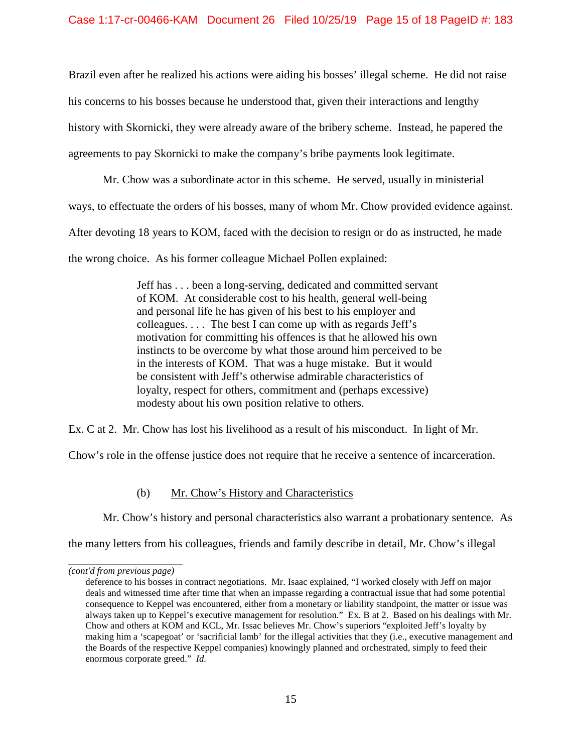Brazil even after he realized his actions were aiding his bosses' illegal scheme. He did not raise his concerns to his bosses because he understood that, given their interactions and lengthy history with Skornicki, they were already aware of the bribery scheme. Instead, he papered the agreements to pay Skornicki to make the company's bribe payments look legitimate.

Mr. Chow was a subordinate actor in this scheme. He served, usually in ministerial ways, to effectuate the orders of his bosses, many of whom Mr. Chow provided evidence against. After devoting 18 years to KOM, faced with the decision to resign or do as instructed, he made the wrong choice. As his former colleague Michael Pollen explained:

> Jeff has . . . been a long-serving, dedicated and committed servant of KOM. At considerable cost to his health, general well-being and personal life he has given of his best to his employer and colleagues. . . . The best I can come up with as regards Jeff's motivation for committing his offences is that he allowed his own instincts to be overcome by what those around him perceived to be in the interests of KOM. That was a huge mistake. But it would be consistent with Jeff's otherwise admirable characteristics of loyalty, respect for others, commitment and (perhaps excessive) modesty about his own position relative to others.

Ex. C at 2. Mr. Chow has lost his livelihood as a result of his misconduct. In light of Mr.

Chow's role in the offense justice does not require that he receive a sentence of incarceration.

# (b) Mr. Chow's History and Characteristics

Mr. Chow's history and personal characteristics also warrant a probationary sentence. As

the many letters from his colleagues, friends and family describe in detail, Mr. Chow's illegal

*\_\_\_\_\_\_\_\_\_\_\_\_\_\_\_\_\_\_\_\_\_\_\_\_ (cont'd from previous page)*

deference to his bosses in contract negotiations. Mr. Isaac explained, "I worked closely with Jeff on major deals and witnessed time after time that when an impasse regarding a contractual issue that had some potential consequence to Keppel was encountered, either from a monetary or liability standpoint, the matter or issue was always taken up to Keppel's executive management for resolution." Ex. B at 2. Based on his dealings with Mr. Chow and others at KOM and KCL, Mr. Issac believes Mr. Chow's superiors "exploited Jeff's loyalty by making him a 'scapegoat' or 'sacrificial lamb' for the illegal activities that they (i.e., executive management and the Boards of the respective Keppel companies) knowingly planned and orchestrated, simply to feed their enormous corporate greed." *Id.*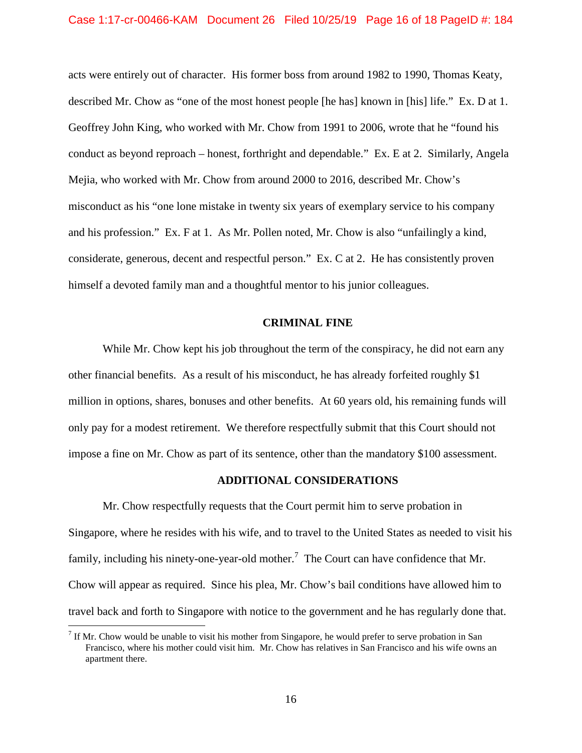### Case 1:17-cr-00466-KAM Document 26 Filed 10/25/19 Page 16 of 18 PageID #: 184

acts were entirely out of character. His former boss from around 1982 to 1990, Thomas Keaty, described Mr. Chow as "one of the most honest people [he has] known in [his] life." Ex. D at 1. Geoffrey John King, who worked with Mr. Chow from 1991 to 2006, wrote that he "found his conduct as beyond reproach – honest, forthright and dependable." Ex. E at 2. Similarly, Angela Mejia, who worked with Mr. Chow from around 2000 to 2016, described Mr. Chow's misconduct as his "one lone mistake in twenty six years of exemplary service to his company and his profession." Ex. F at 1. As Mr. Pollen noted, Mr. Chow is also "unfailingly a kind, considerate, generous, decent and respectful person." Ex. C at 2. He has consistently proven himself a devoted family man and a thoughtful mentor to his junior colleagues.

#### **CRIMINAL FINE**

While Mr. Chow kept his job throughout the term of the conspiracy, he did not earn any other financial benefits. As a result of his misconduct, he has already forfeited roughly \$1 million in options, shares, bonuses and other benefits. At 60 years old, his remaining funds will only pay for a modest retirement. We therefore respectfully submit that this Court should not impose a fine on Mr. Chow as part of its sentence, other than the mandatory \$100 assessment.

#### **ADDITIONAL CONSIDERATIONS**

Mr. Chow respectfully requests that the Court permit him to serve probation in Singapore, where he resides with his wife, and to travel to the United States as needed to visit his family, including his ninety-one-year-old mother.<sup>7</sup> The Court can have confidence that Mr. Chow will appear as required. Since his plea, Mr. Chow's bail conditions have allowed him to travel back and forth to Singapore with notice to the government and he has regularly done that.

<sup>&</sup>lt;sup>7</sup> If Mr. Chow would be unable to visit his mother from Singapore, he would prefer to serve probation in San Francisco, where his mother could visit him. Mr. Chow has relatives in San Francisco and his wife owns an apartment there.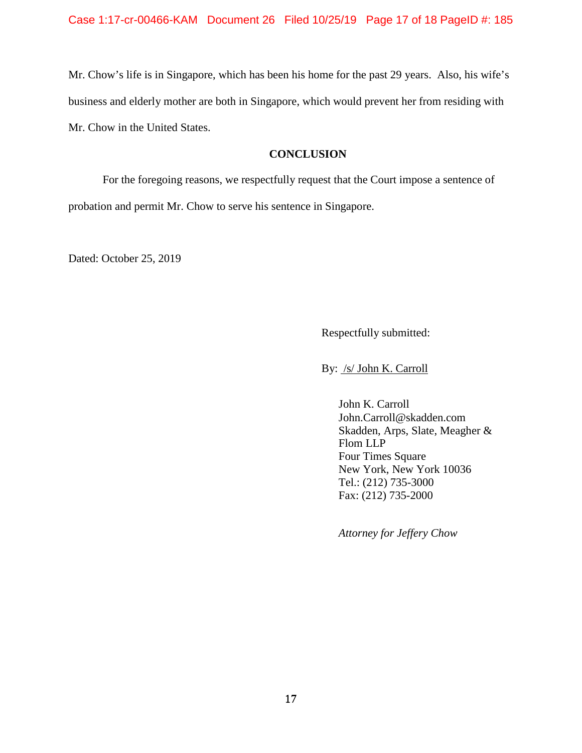Mr. Chow's life is in Singapore, which has been his home for the past 29 years. Also, his wife's business and elderly mother are both in Singapore, which would prevent her from residing with Mr. Chow in the United States.

## **CONCLUSION**

For the foregoing reasons, we respectfully request that the Court impose a sentence of probation and permit Mr. Chow to serve his sentence in Singapore.

Dated: October 25, 2019

Respectfully submitted:

By: /s/ John K. Carroll

John K. Carroll John.Carroll@skadden.com Skadden, Arps, Slate, Meagher & Flom LLP Four Times Square New York, New York 10036 Tel.: (212) 735-3000 Fax: (212) 735-2000

*Attorney for Jeffery Chow*